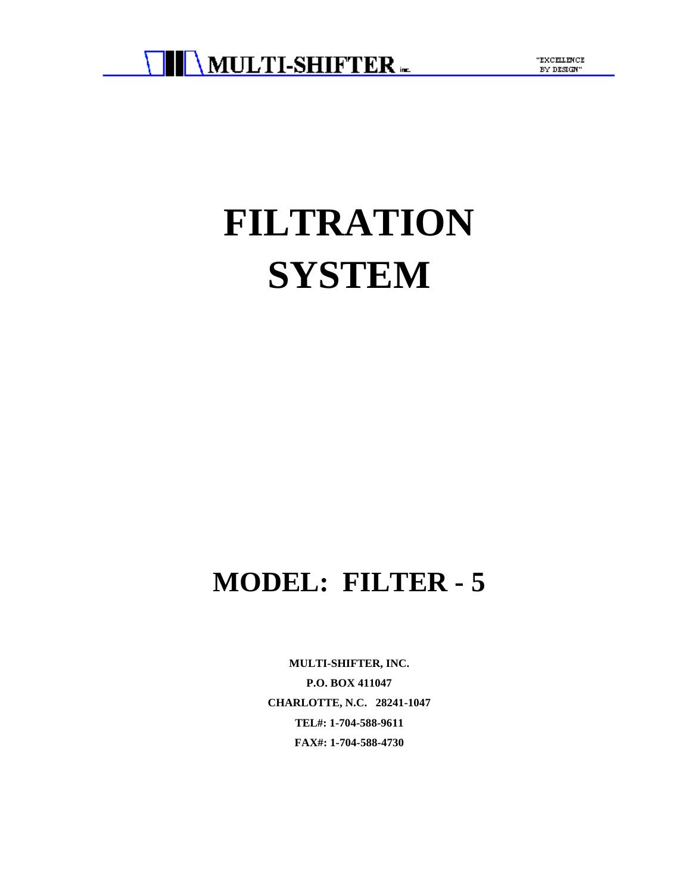

"EXCELLENCE BY DESIGN"

# **FILTRATION SYSTEM**

## **MODEL: FILTER - 5**

**MULTI-SHIFTER, INC. P.O. BOX 411047 CHARLOTTE, N.C. 28241-1047 TEL#: 1-704-588-9611 FAX#: 1-704-588-4730**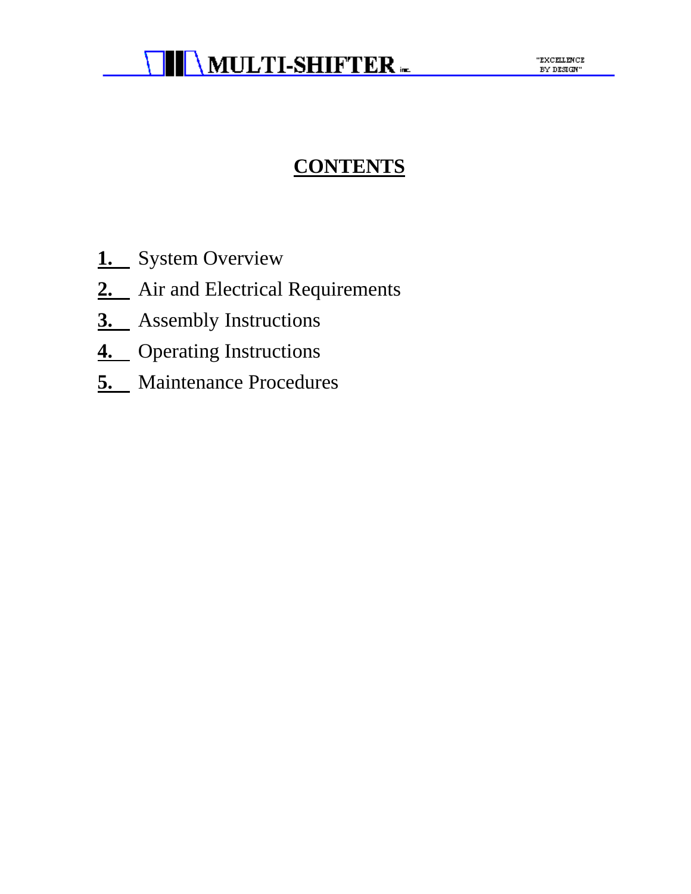### **CONTENTS**

- **1.** System Overview
- 2. Air and Electrical Requirements
- **3.** Assembly Instructions
- **4.** Operating Instructions
- **5.** Maintenance Procedures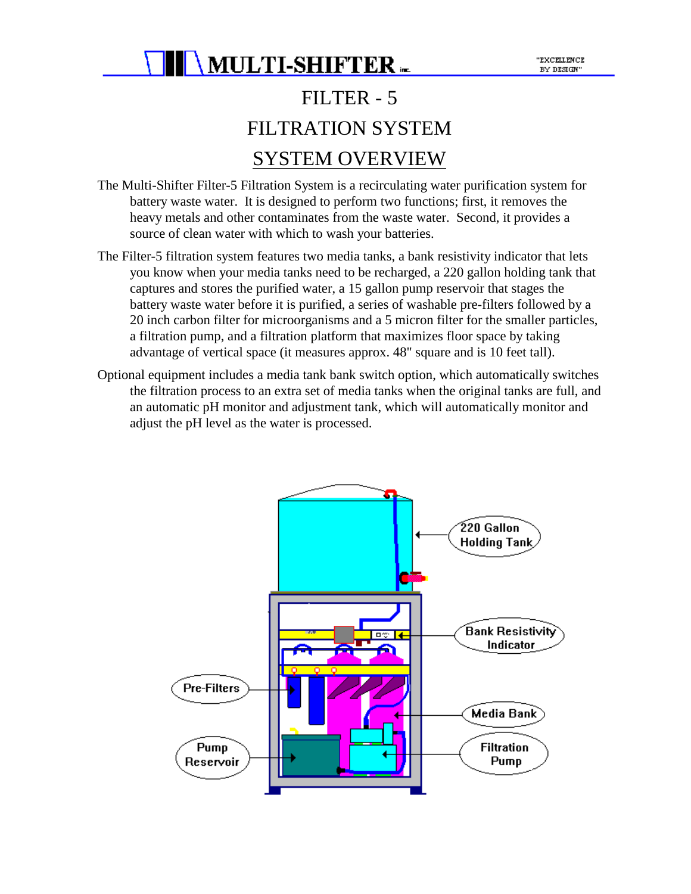## FILTER - 5 FILTRATION SYSTEM SYSTEM OVERVIEW

- The Multi-Shifter Filter-5 Filtration System is a recirculating water purification system for battery waste water. It is designed to perform two functions; first, it removes the heavy metals and other contaminates from the waste water. Second, it provides a source of clean water with which to wash your batteries.
- The Filter-5 filtration system features two media tanks, a bank resistivity indicator that lets you know when your media tanks need to be recharged, a 220 gallon holding tank that captures and stores the purified water, a 15 gallon pump reservoir that stages the battery waste water before it is purified, a series of washable pre-filters followed by a 20 inch carbon filter for microorganisms and a 5 micron filter for the smaller particles, a filtration pump, and a filtration platform that maximizes floor space by taking advantage of vertical space (it measures approx. 48" square and is 10 feet tall).
- Optional equipment includes a media tank bank switch option, which automatically switches the filtration process to an extra set of media tanks when the original tanks are full, and an automatic pH monitor and adjustment tank, which will automatically monitor and adjust the pH level as the water is processed.

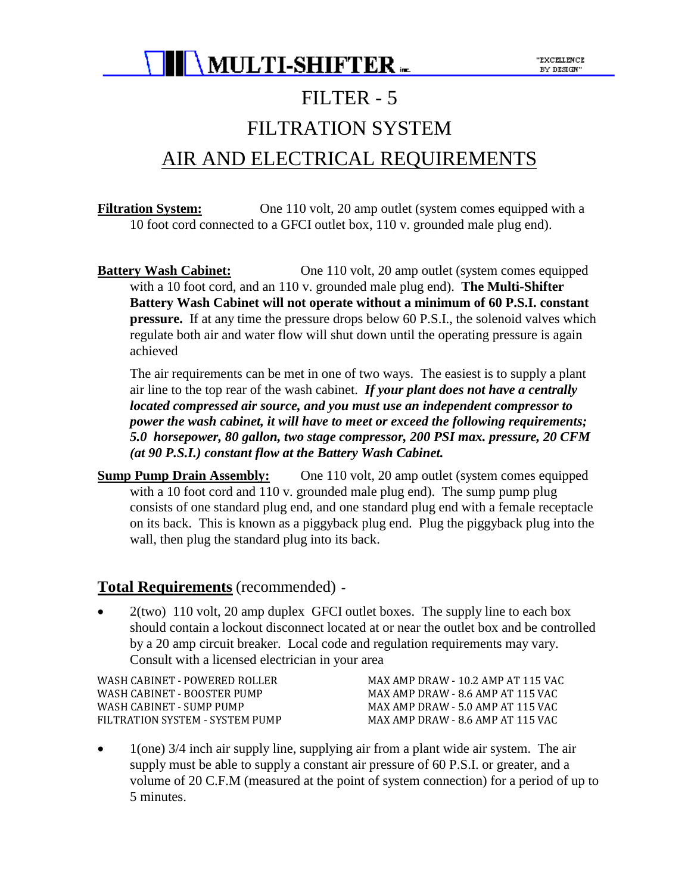

## FILTER - 5

### FILTRATION SYSTEM

### AIR AND ELECTRICAL REQUIREMENTS

**Filtration System:** One 110 volt, 20 amp outlet (system comes equipped with a 10 foot cord connected to a GFCI outlet box, 110 v. grounded male plug end).

**Battery Wash Cabinet:** One 110 volt, 20 amp outlet (system comes equipped with a 10 foot cord, and an 110 v. grounded male plug end). **The Multi-Shifter Battery Wash Cabinet will not operate without a minimum of 60 P.S.I. constant pressure.** If at any time the pressure drops below 60 P.S.I., the solenoid valves which regulate both air and water flow will shut down until the operating pressure is again achieved

The air requirements can be met in one of two ways. The easiest is to supply a plant air line to the top rear of the wash cabinet. *If your plant does not have a centrally located compressed air source, and you must use an independent compressor to power the wash cabinet, it will have to meet or exceed the following requirements; 5.0 horsepower, 80 gallon, two stage compressor, 200 PSI max. pressure, 20 CFM (at 90 P.S.I.) constant flow at the Battery Wash Cabinet.*

**Sump Pump Drain Assembly:** One 110 volt, 20 amp outlet (system comes equipped with a 10 foot cord and 110 v. grounded male plug end). The sump pump plug consists of one standard plug end, and one standard plug end with a female receptacle on its back. This is known as a piggyback plug end. Plug the piggyback plug into the wall, then plug the standard plug into its back.

#### **Total Requirements** (recommended) -

• 2(two) 110 volt, 20 amp duplex GFCI outlet boxes. The supply line to each box should contain a lockout disconnect located at or near the outlet box and be controlled by a 20 amp circuit breaker. Local code and regulation requirements may vary. Consult with a licensed electrician in your area

WASH CABINET - POWERED ROLLER MAX AMP DRAW - 10.2 AMP AT 115 VAC WASH CABINET - BOOSTER PUMP MAX AMP DRAW - 8.6 AMP AT 115 VAC WASH CABINET - SUMP PUMP MAX AMP DRAW - 5.0 AMP AT 115 VAC FILTRATION SYSTEM - SYSTEM PUMP MAX AMP DRAW - 8.6 AMP AT 115 VAC

• 1(one) 3/4 inch air supply line, supplying air from a plant wide air system. The air supply must be able to supply a constant air pressure of 60 P.S.I. or greater, and a volume of 20 C.F.M (measured at the point of system connection) for a period of up to 5 minutes.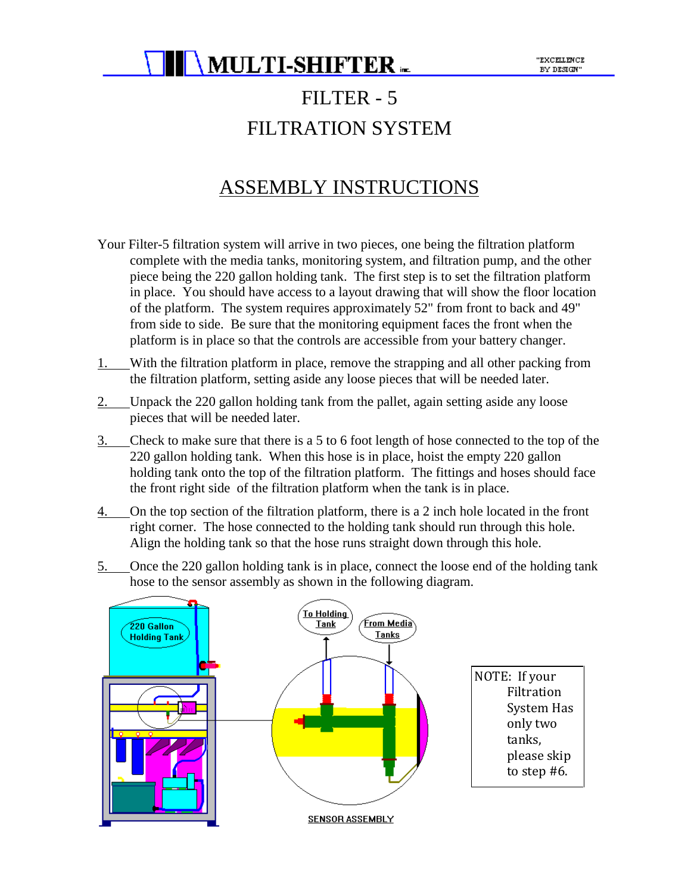### FILTER - 5 FILTRATION SYSTEM

### ASSEMBLY INSTRUCTIONS

- Your Filter-5 filtration system will arrive in two pieces, one being the filtration platform complete with the media tanks, monitoring system, and filtration pump, and the other piece being the 220 gallon holding tank. The first step is to set the filtration platform in place. You should have access to a layout drawing that will show the floor location of the platform. The system requires approximately 52" from front to back and 49" from side to side. Be sure that the monitoring equipment faces the front when the platform is in place so that the controls are accessible from your battery changer.
- 1. With the filtration platform in place, remove the strapping and all other packing from the filtration platform, setting aside any loose pieces that will be needed later.
- 2. Unpack the 220 gallon holding tank from the pallet, again setting aside any loose pieces that will be needed later.
- 3. Check to make sure that there is a 5 to 6 foot length of hose connected to the top of the 220 gallon holding tank. When this hose is in place, hoist the empty 220 gallon holding tank onto the top of the filtration platform. The fittings and hoses should face the front right side of the filtration platform when the tank is in place.
- 4. On the top section of the filtration platform, there is a 2 inch hole located in the front right corner. The hose connected to the holding tank should run through this hole. Align the holding tank so that the hose runs straight down through this hole.
- 5. Once the 220 gallon holding tank is in place, connect the loose end of the holding tank hose to the sensor assembly as shown in the following diagram.

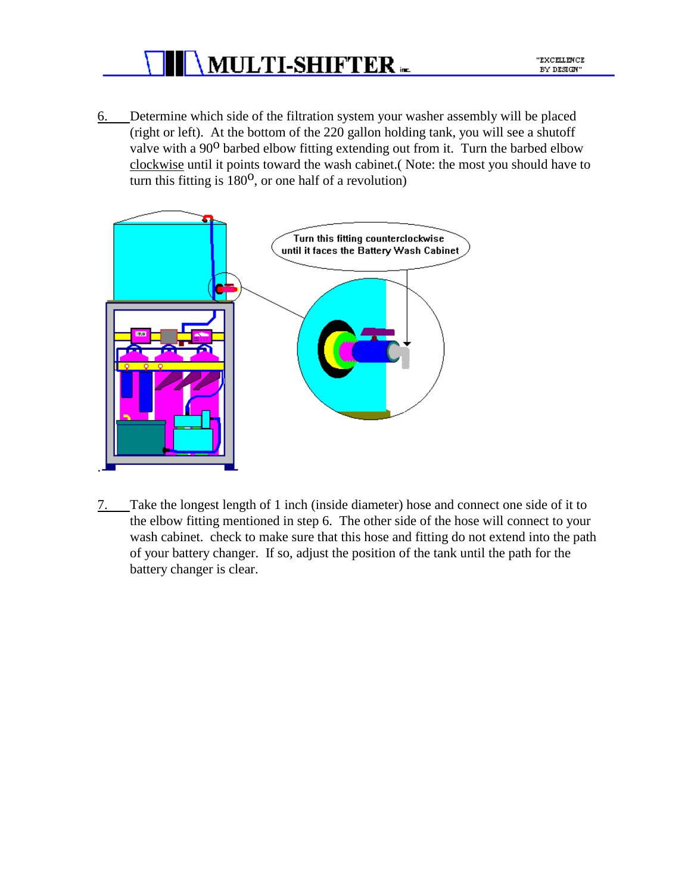

- "EXCELLENCE BY DESIGN"
- 6. Determine which side of the filtration system your washer assembly will be placed (right or left). At the bottom of the 220 gallon holding tank, you will see a shutoff valve with a 90<sup>0</sup> barbed elbow fitting extending out from it. Turn the barbed elbow clockwise until it points toward the wash cabinet.( Note: the most you should have to turn this fitting is  $180^{\circ}$ , or one half of a revolution)



7. Take the longest length of 1 inch (inside diameter) hose and connect one side of it to the elbow fitting mentioned in step 6. The other side of the hose will connect to your wash cabinet. check to make sure that this hose and fitting do not extend into the path of your battery changer. If so, adjust the position of the tank until the path for the battery changer is clear.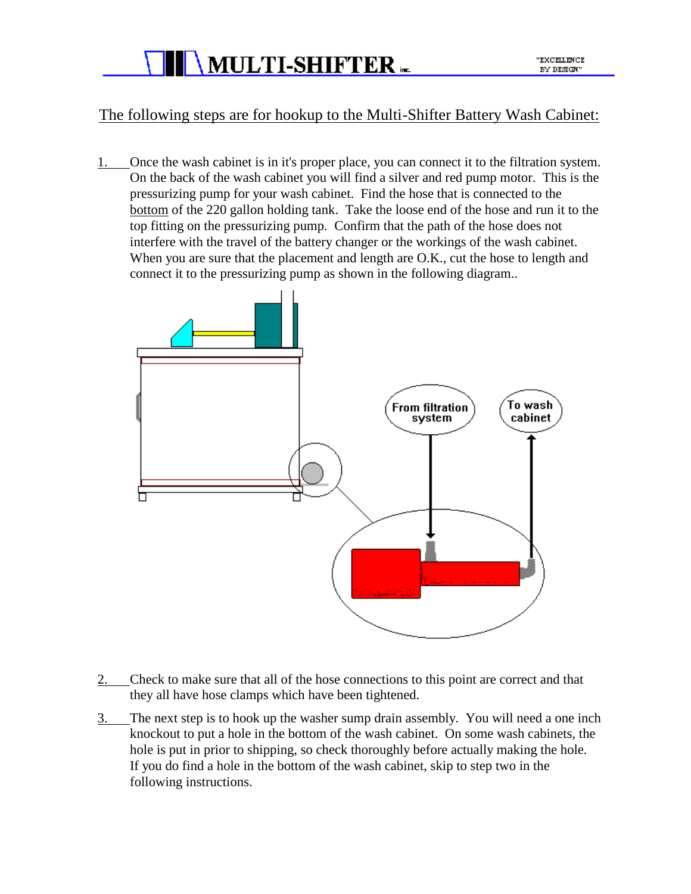

#### The following steps are for hookup to the Multi-Shifter Battery Wash Cabinet:

1. Once the wash cabinet is in it's proper place, you can connect it to the filtration system. On the back of the wash cabinet you will find a silver and red pump motor. This is the pressurizing pump for your wash cabinet. Find the hose that is connected to the bottom of the 220 gallon holding tank. Take the loose end of the hose and run it to the top fitting on the pressurizing pump. Confirm that the path of the hose does not interfere with the travel of the battery changer or the workings of the wash cabinet. When you are sure that the placement and length are O.K., cut the hose to length and connect it to the pressurizing pump as shown in the following diagram..



- 2. Check to make sure that all of the hose connections to this point are correct and that they all have hose clamps which have been tightened.
- 3. The next step is to hook up the washer sump drain assembly. You will need a one inch knockout to put a hole in the bottom of the wash cabinet. On some wash cabinets, the hole is put in prior to shipping, so check thoroughly before actually making the hole. If you do find a hole in the bottom of the wash cabinet, skip to step two in the following instructions.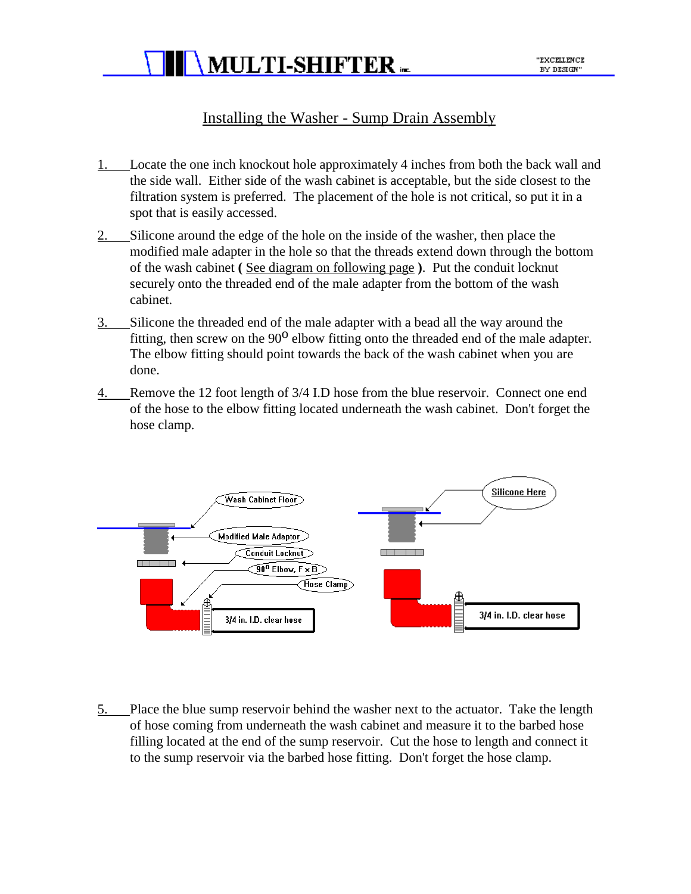

#### Installing the Washer - Sump Drain Assembly

- 1. Locate the one inch knockout hole approximately 4 inches from both the back wall and the side wall. Either side of the wash cabinet is acceptable, but the side closest to the filtration system is preferred. The placement of the hole is not critical, so put it in a spot that is easily accessed.
- 2. Silicone around the edge of the hole on the inside of the washer, then place the modified male adapter in the hole so that the threads extend down through the bottom of the wash cabinet **(** See diagram on following page **)**. Put the conduit locknut securely onto the threaded end of the male adapter from the bottom of the wash cabinet.
- 3. Silicone the threaded end of the male adapter with a bead all the way around the fitting, then screw on the  $90^{\circ}$  elbow fitting onto the threaded end of the male adapter. The elbow fitting should point towards the back of the wash cabinet when you are done.
- 4. Remove the 12 foot length of 3/4 I.D hose from the blue reservoir. Connect one end of the hose to the elbow fitting located underneath the wash cabinet. Don't forget the hose clamp.



5. Place the blue sump reservoir behind the washer next to the actuator. Take the length of hose coming from underneath the wash cabinet and measure it to the barbed hose filling located at the end of the sump reservoir. Cut the hose to length and connect it to the sump reservoir via the barbed hose fitting. Don't forget the hose clamp.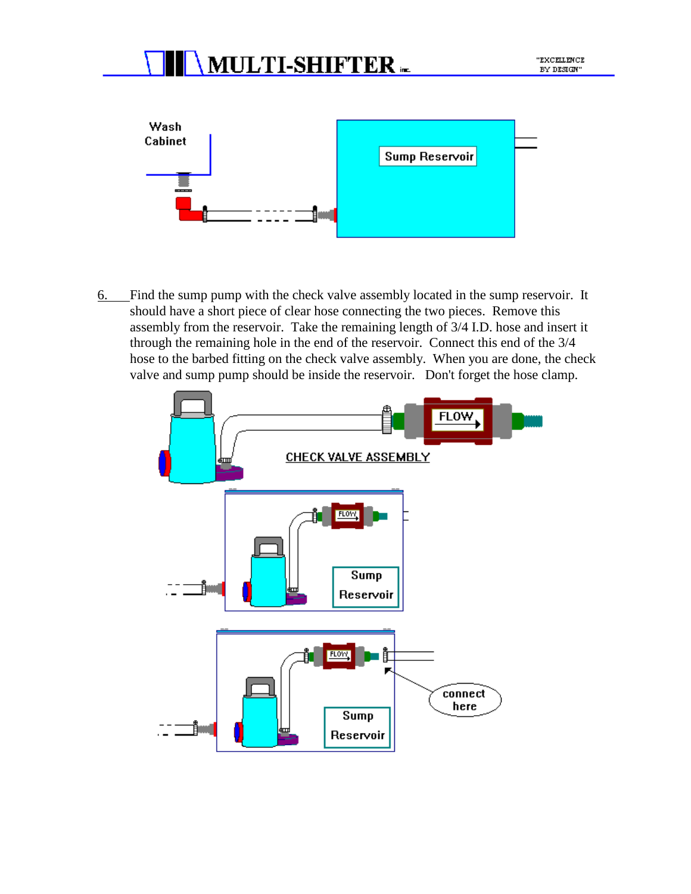

6. Find the sump pump with the check valve assembly located in the sump reservoir. It should have a short piece of clear hose connecting the two pieces. Remove this assembly from the reservoir. Take the remaining length of 3/4 I.D. hose and insert it through the remaining hole in the end of the reservoir. Connect this end of the 3/4 hose to the barbed fitting on the check valve assembly. When you are done, the check valve and sump pump should be inside the reservoir. Don't forget the hose clamp.

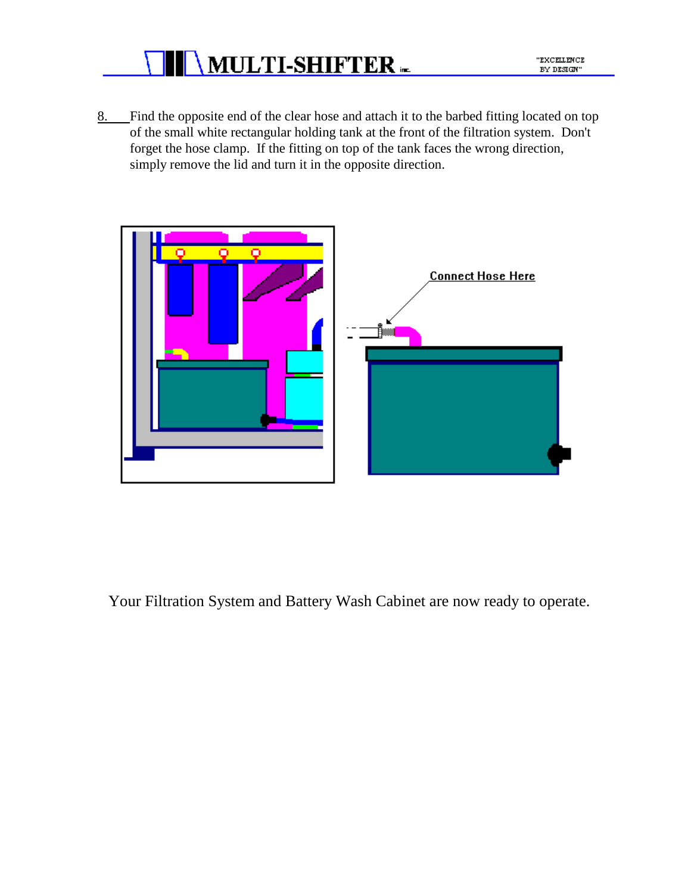

- "EXCELLENCE BY DESIGN"
- 8. Find the opposite end of the clear hose and attach it to the barbed fitting located on top of the small white rectangular holding tank at the front of the filtration system. Don't forget the hose clamp. If the fitting on top of the tank faces the wrong direction, simply remove the lid and turn it in the opposite direction.



Your Filtration System and Battery Wash Cabinet are now ready to operate.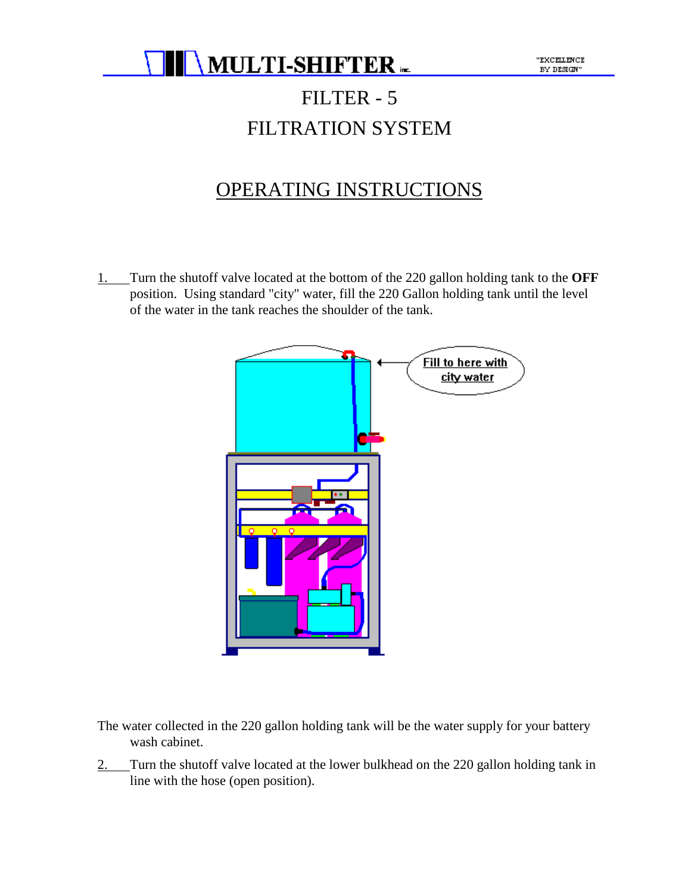

## FILTER - 5 FILTRATION SYSTEM

### OPERATING INSTRUCTIONS

1. Turn the shutoff valve located at the bottom of the 220 gallon holding tank to the **OFF** position. Using standard "city" water, fill the 220 Gallon holding tank until the level of the water in the tank reaches the shoulder of the tank.



- The water collected in the 220 gallon holding tank will be the water supply for your battery wash cabinet.
- 2. Turn the shutoff valve located at the lower bulkhead on the 220 gallon holding tank in line with the hose (open position).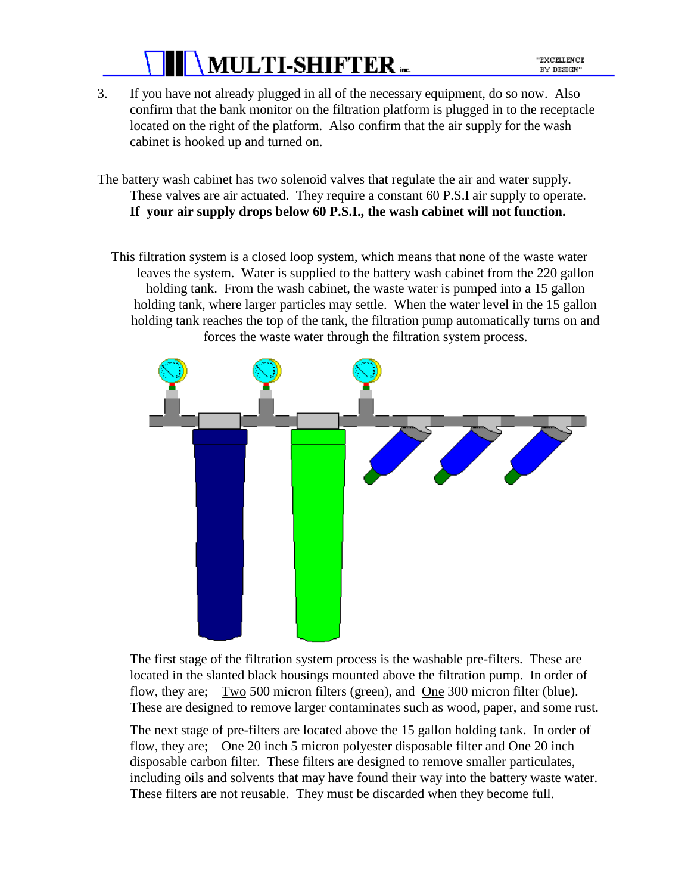3. If you have not already plugged in all of the necessary equipment, do so now. Also confirm that the bank monitor on the filtration platform is plugged in to the receptacle located on the right of the platform. Also confirm that the air supply for the wash cabinet is hooked up and turned on.

The battery wash cabinet has two solenoid valves that regulate the air and water supply. These valves are air actuated. They require a constant 60 P.S.I air supply to operate. **If your air supply drops below 60 P.S.I., the wash cabinet will not function.**

This filtration system is a closed loop system, which means that none of the waste water leaves the system. Water is supplied to the battery wash cabinet from the 220 gallon holding tank. From the wash cabinet, the waste water is pumped into a 15 gallon holding tank, where larger particles may settle. When the water level in the 15 gallon holding tank reaches the top of the tank, the filtration pump automatically turns on and forces the waste water through the filtration system process.



The first stage of the filtration system process is the washable pre-filters. These are located in the slanted black housings mounted above the filtration pump. In order of flow, they are; Two 500 micron filters (green), and <u>One</u> 300 micron filter (blue). These are designed to remove larger contaminates such as wood, paper, and some rust.

The next stage of pre-filters are located above the 15 gallon holding tank. In order of flow, they are; One 20 inch 5 micron polyester disposable filter and One 20 inch disposable carbon filter. These filters are designed to remove smaller particulates, including oils and solvents that may have found their way into the battery waste water. These filters are not reusable. They must be discarded when they become full.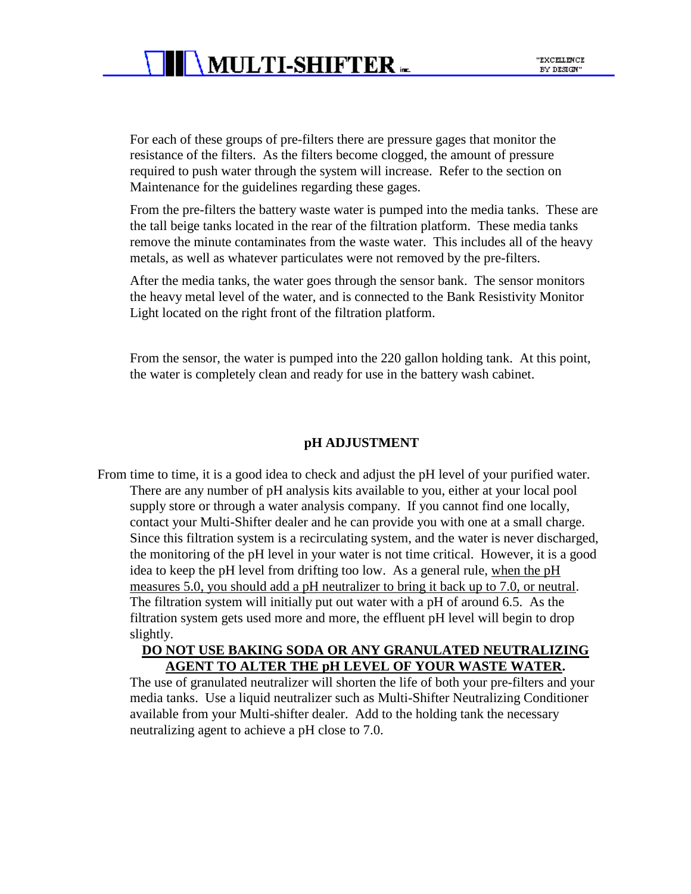For each of these groups of pre-filters there are pressure gages that monitor the resistance of the filters. As the filters become clogged, the amount of pressure required to push water through the system will increase. Refer to the section on Maintenance for the guidelines regarding these gages.

From the pre-filters the battery waste water is pumped into the media tanks. These are the tall beige tanks located in the rear of the filtration platform. These media tanks remove the minute contaminates from the waste water. This includes all of the heavy metals, as well as whatever particulates were not removed by the pre-filters.

After the media tanks, the water goes through the sensor bank. The sensor monitors the heavy metal level of the water, and is connected to the Bank Resistivity Monitor Light located on the right front of the filtration platform.

From the sensor, the water is pumped into the 220 gallon holding tank. At this point, the water is completely clean and ready for use in the battery wash cabinet.

#### **pH ADJUSTMENT**

From time to time, it is a good idea to check and adjust the pH level of your purified water. There are any number of pH analysis kits available to you, either at your local pool supply store or through a water analysis company. If you cannot find one locally, contact your Multi-Shifter dealer and he can provide you with one at a small charge. Since this filtration system is a recirculating system, and the water is never discharged, the monitoring of the pH level in your water is not time critical. However, it is a good idea to keep the pH level from drifting too low. As a general rule, when the pH measures 5.0, you should add a pH neutralizer to bring it back up to 7.0, or neutral. The filtration system will initially put out water with a pH of around 6.5. As the filtration system gets used more and more, the effluent pH level will begin to drop slightly.

#### **DO NOT USE BAKING SODA OR ANY GRANULATED NEUTRALIZING AGENT TO ALTER THE pH LEVEL OF YOUR WASTE WATER.**

The use of granulated neutralizer will shorten the life of both your pre-filters and your media tanks. Use a liquid neutralizer such as Multi-Shifter Neutralizing Conditioner available from your Multi-shifter dealer. Add to the holding tank the necessary neutralizing agent to achieve a pH close to 7.0.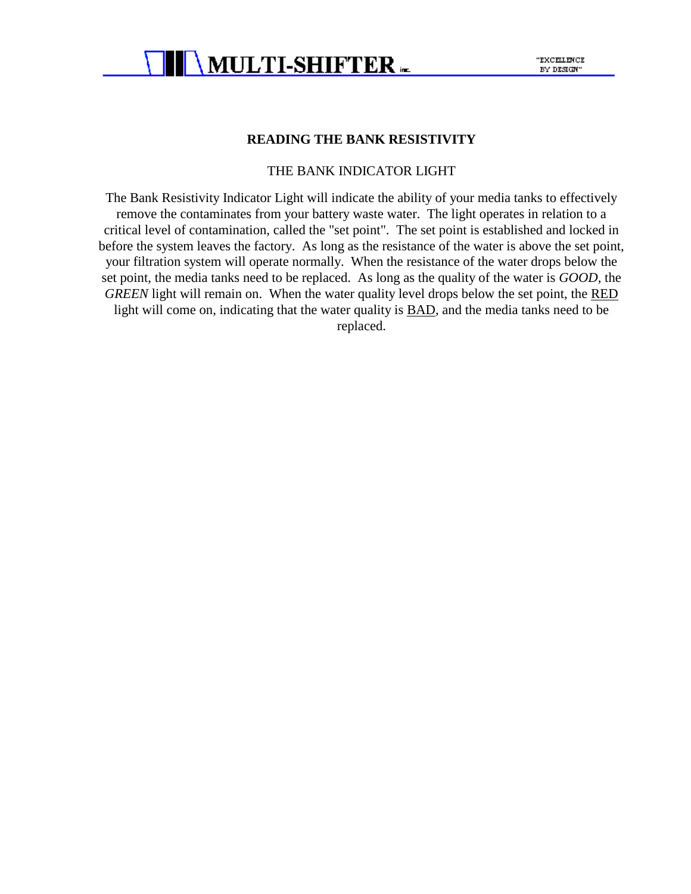

#### **READING THE BANK RESISTIVITY**

#### THE BANK INDICATOR LIGHT

The Bank Resistivity Indicator Light will indicate the ability of your media tanks to effectively remove the contaminates from your battery waste water. The light operates in relation to a critical level of contamination, called the "set point". The set point is established and locked in before the system leaves the factory. As long as the resistance of the water is above the set point, your filtration system will operate normally. When the resistance of the water drops below the set point, the media tanks need to be replaced. As long as the quality of the water is *GOOD*, the GREEN light will remain on. When the water quality level drops below the set point, the RED light will come on, indicating that the water quality is **BAD**, and the media tanks need to be replaced.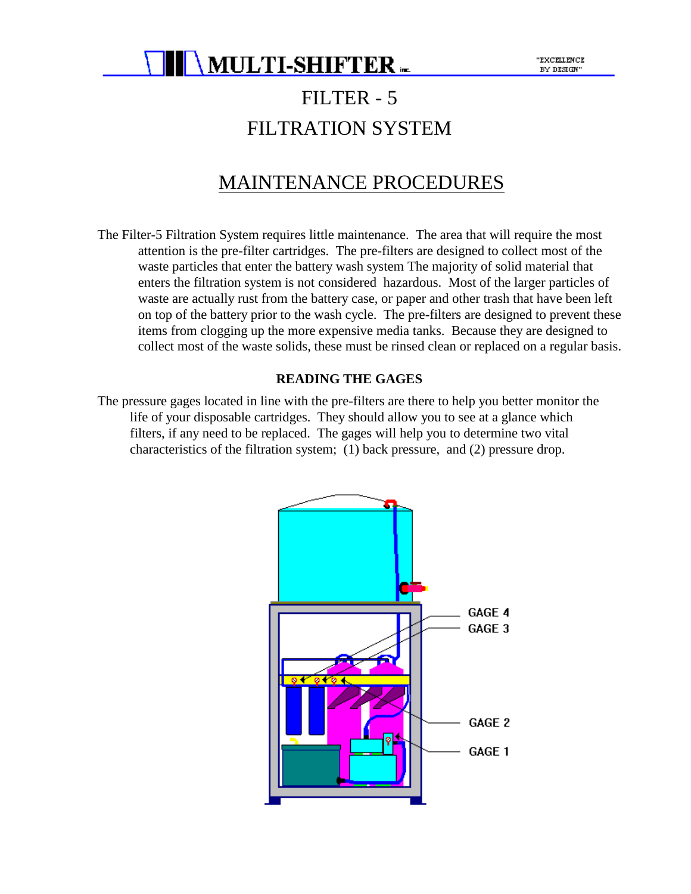

### FILTER - 5 FILTRATION SYSTEM

### MAINTENANCE PROCEDURES

The Filter-5 Filtration System requires little maintenance. The area that will require the most attention is the pre-filter cartridges. The pre-filters are designed to collect most of the waste particles that enter the battery wash system The majority of solid material that enters the filtration system is not considered hazardous. Most of the larger particles of waste are actually rust from the battery case, or paper and other trash that have been left on top of the battery prior to the wash cycle. The pre-filters are designed to prevent these items from clogging up the more expensive media tanks. Because they are designed to collect most of the waste solids, these must be rinsed clean or replaced on a regular basis.

#### **READING THE GAGES**

The pressure gages located in line with the pre-filters are there to help you better monitor the life of your disposable cartridges. They should allow you to see at a glance which filters, if any need to be replaced. The gages will help you to determine two vital characteristics of the filtration system; (1) back pressure, and (2) pressure drop.

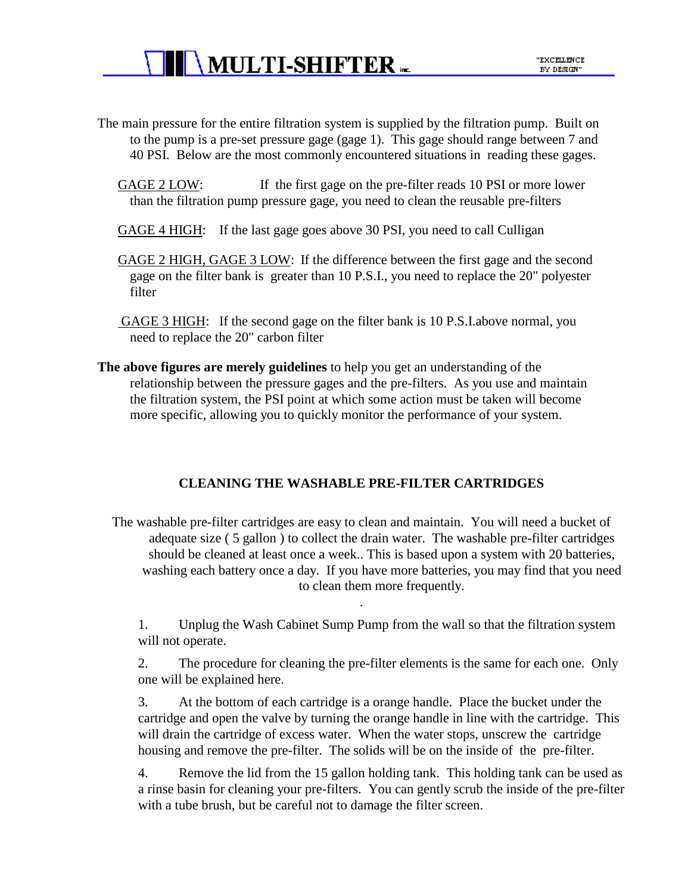- The main pressure for the entire filtration system is supplied by the filtration pump. Built on to the pump is a pre-set pressure gage (gage 1). This gage should range between 7 and 40 PSI. Below are the most commonly encountered situations in reading these gages.
	- GAGE 2 LOW: If the first gage on the pre-filter reads 10 PSI or more lower than the filtration pump pressure gage, you need to clean the reusable pre-filters
	- GAGE 4 HIGH: If the last gage goes above 30 PSI, you need to call Culligan
	- GAGE 2 HIGH, GAGE 3 LOW: If the difference between the first gage and the second gage on the filter bank is greater than 10 P.S.I., you need to replace the 20" polyester filter
	- GAGE 3 HIGH: If the second gage on the filter bank is 10 P.S.I.above normal, you need to replace the 20" carbon filter
- **The above figures are merely guidelines** to help you get an understanding of the relationship between the pressure gages and the pre-filters. As you use and maintain the filtration system, the PSI point at which some action must be taken will become more specific, allowing you to quickly monitor the performance of your system.

#### **CLEANING THE WASHABLE PRE-FILTER CARTRIDGES**

The washable pre-filter cartridges are easy to clean and maintain. You will need a bucket of adequate size ( 5 gallon ) to collect the drain water. The washable pre-filter cartridges should be cleaned at least once a week.. This is based upon a system with 20 batteries, washing each battery once a day. If you have more batteries, you may find that you need to clean them more frequently.

.

1. Unplug the Wash Cabinet Sump Pump from the wall so that the filtration system will not operate.

2. The procedure for cleaning the pre-filter elements is the same for each one. Only one will be explained here.

3. At the bottom of each cartridge is a orange handle. Place the bucket under the cartridge and open the valve by turning the orange handle in line with the cartridge. This will drain the cartridge of excess water. When the water stops, unscrew the cartridge housing and remove the pre-filter. The solids will be on the inside of the pre-filter.

4. Remove the lid from the 15 gallon holding tank. This holding tank can be used as a rinse basin for cleaning your pre-filters. You can gently scrub the inside of the pre-filter with a tube brush, but be careful not to damage the filter screen.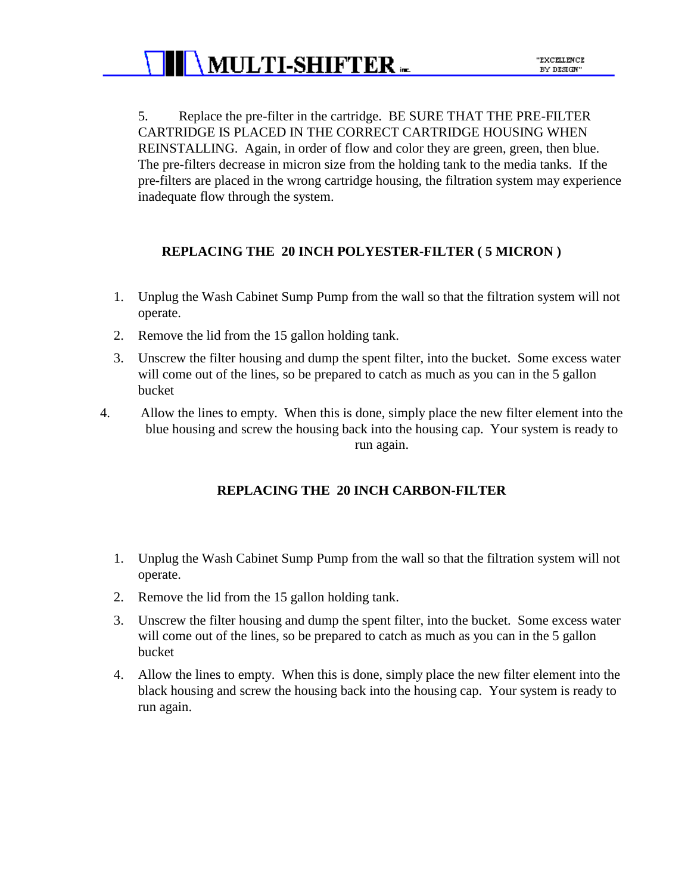5. Replace the pre-filter in the cartridge. BE SURE THAT THE PRE-FILTER CARTRIDGE IS PLACED IN THE CORRECT CARTRIDGE HOUSING WHEN REINSTALLING. Again, in order of flow and color they are green, green, then blue. The pre-filters decrease in micron size from the holding tank to the media tanks. If the pre-filters are placed in the wrong cartridge housing, the filtration system may experience inadequate flow through the system.

#### **REPLACING THE 20 INCH POLYESTER-FILTER ( 5 MICRON )**

- 1. Unplug the Wash Cabinet Sump Pump from the wall so that the filtration system will not operate.
- 2. Remove the lid from the 15 gallon holding tank.
- 3. Unscrew the filter housing and dump the spent filter, into the bucket. Some excess water will come out of the lines, so be prepared to catch as much as you can in the 5 gallon bucket
- 4. Allow the lines to empty. When this is done, simply place the new filter element into the blue housing and screw the housing back into the housing cap. Your system is ready to run again.

#### **REPLACING THE 20 INCH CARBON-FILTER**

- 1. Unplug the Wash Cabinet Sump Pump from the wall so that the filtration system will not operate.
- 2. Remove the lid from the 15 gallon holding tank.
- 3. Unscrew the filter housing and dump the spent filter, into the bucket. Some excess water will come out of the lines, so be prepared to catch as much as you can in the 5 gallon bucket
- 4. Allow the lines to empty. When this is done, simply place the new filter element into the black housing and screw the housing back into the housing cap. Your system is ready to run again.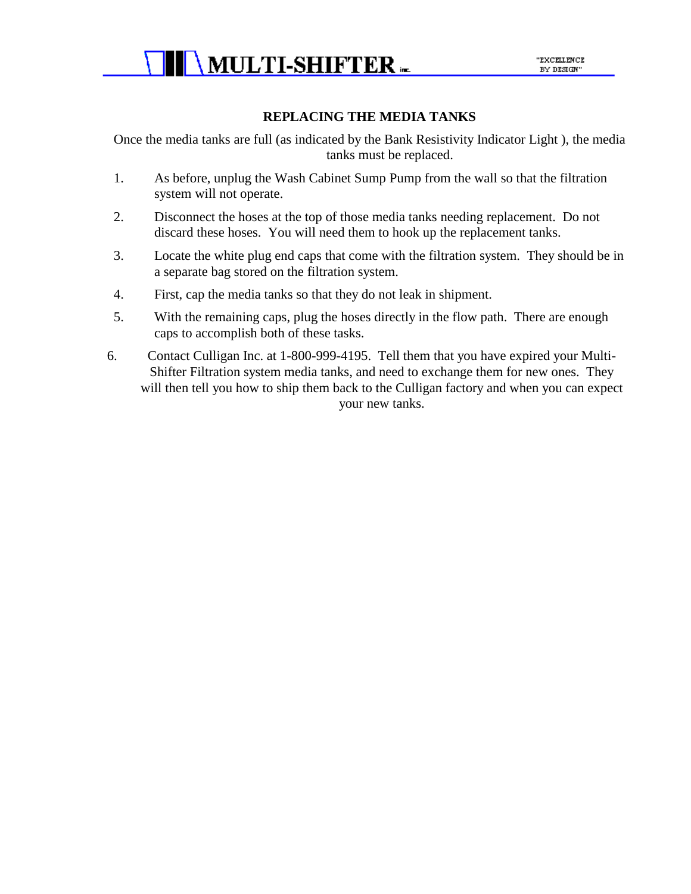

#### **REPLACING THE MEDIA TANKS**

Once the media tanks are full (as indicated by the Bank Resistivity Indicator Light ), the media tanks must be replaced.

- 1. As before, unplug the Wash Cabinet Sump Pump from the wall so that the filtration system will not operate.
- 2. Disconnect the hoses at the top of those media tanks needing replacement. Do not discard these hoses. You will need them to hook up the replacement tanks.
- 3. Locate the white plug end caps that come with the filtration system. They should be in a separate bag stored on the filtration system.
- 4. First, cap the media tanks so that they do not leak in shipment.
- 5. With the remaining caps, plug the hoses directly in the flow path. There are enough caps to accomplish both of these tasks.
- 6. Contact Culligan Inc. at 1-800-999-4195. Tell them that you have expired your Multi-Shifter Filtration system media tanks, and need to exchange them for new ones. They will then tell you how to ship them back to the Culligan factory and when you can expect your new tanks.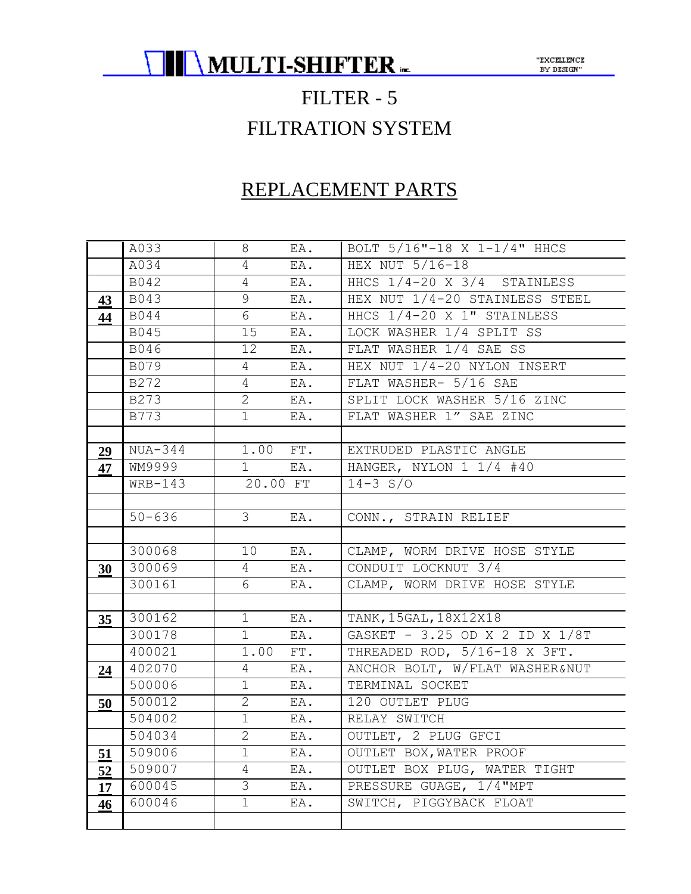

### FILTER - 5 FILTRATION SYSTEM

### REPLACEMENT PARTS

|    | A033       | 8              | EA. | BOLT 5/16"-18 X 1-1/4" HHCS    |
|----|------------|----------------|-----|--------------------------------|
|    | A034       | $\overline{4}$ | EA. | HEX NUT 5/16-18                |
|    | B042       | $\overline{4}$ | EA. | HHCS 1/4-20 X 3/4 STAINLESS    |
| 43 | B043       | 9              | EA. | HEX NUT 1/4-20 STAINLESS STEEL |
| 44 | B044       | 6              | EA. | HHCS 1/4-20 X 1" STAINLESS     |
|    | B045       | 15             | EA. | LOCK WASHER 1/4 SPLIT SS       |
|    | B046       | 12             | EA. | FLAT WASHER 1/4 SAE SS         |
|    | B079       | $\overline{4}$ | EA. | HEX NUT 1/4-20 NYLON INSERT    |
|    | B272       | $\overline{4}$ | EA. | FLAT WASHER- 5/16 SAE          |
|    | B273       | $\mathbf{2}$   | EA. | SPLIT LOCK WASHER 5/16 ZINC    |
|    | B773       | $\mathbf{1}$   | EA. | FLAT WASHER 1" SAE ZINC        |
|    |            |                |     |                                |
| 29 | $NUA-344$  | 1.00 FT.       |     | EXTRUDED PLASTIC ANGLE         |
| 47 | WM9999     | $1 \quad$      | EA. | HANGER, NYLON 1 1/4 #40        |
|    | $WRB-143$  | 20.00 FT       |     | $14 - 3 S/O$                   |
|    |            |                |     |                                |
|    | $50 - 636$ | $3 -$          | EA. | CONN., STRAIN RELIEF           |
|    |            |                |     |                                |
|    | 300068     | 10             | EA. | CLAMP, WORM DRIVE HOSE STYLE   |
| 30 | 300069     | $\overline{4}$ | EA. | CONDUIT LOCKNUT 3/4            |
|    | 300161     | 6              | EA. | CLAMP, WORM DRIVE HOSE STYLE   |
|    |            |                |     |                                |
| 35 | 300162     | 1              | EA. | TANK, 15GAL, 18X12X18          |
|    | 300178     | 1              | EA. | GASKET - 3.25 OD X 2 ID X 1/8T |
|    | 400021     | 1.00           | FT. | THREADED ROD, 5/16-18 X 3FT.   |
| 24 | 402070     | $\overline{4}$ | EA. | ANCHOR BOLT, W/FLAT WASHER&NUT |
|    | 500006     | 1              | EA. | TERMINAL SOCKET                |
| 50 | 500012     | $\overline{2}$ | EA. | 120 OUTLET PLUG                |
|    | 504002     | 1              | EA. | RELAY SWITCH                   |
|    | 504034     | $\overline{2}$ | EA. | OUTLET, 2 PLUG GFCI            |
| 51 | 509006     | 1              | EA. | OUTLET BOX, WATER PROOF        |
| 52 | 509007     | 4              | EA. | OUTLET BOX PLUG, WATER TIGHT   |
| 17 | 600045     | 3              | EA. | PRESSURE GUAGE, 1/4"MPT        |
| 46 | 600046     | $\mathbf{1}$   | EA. | SWITCH, PIGGYBACK FLOAT        |
|    |            |                |     |                                |